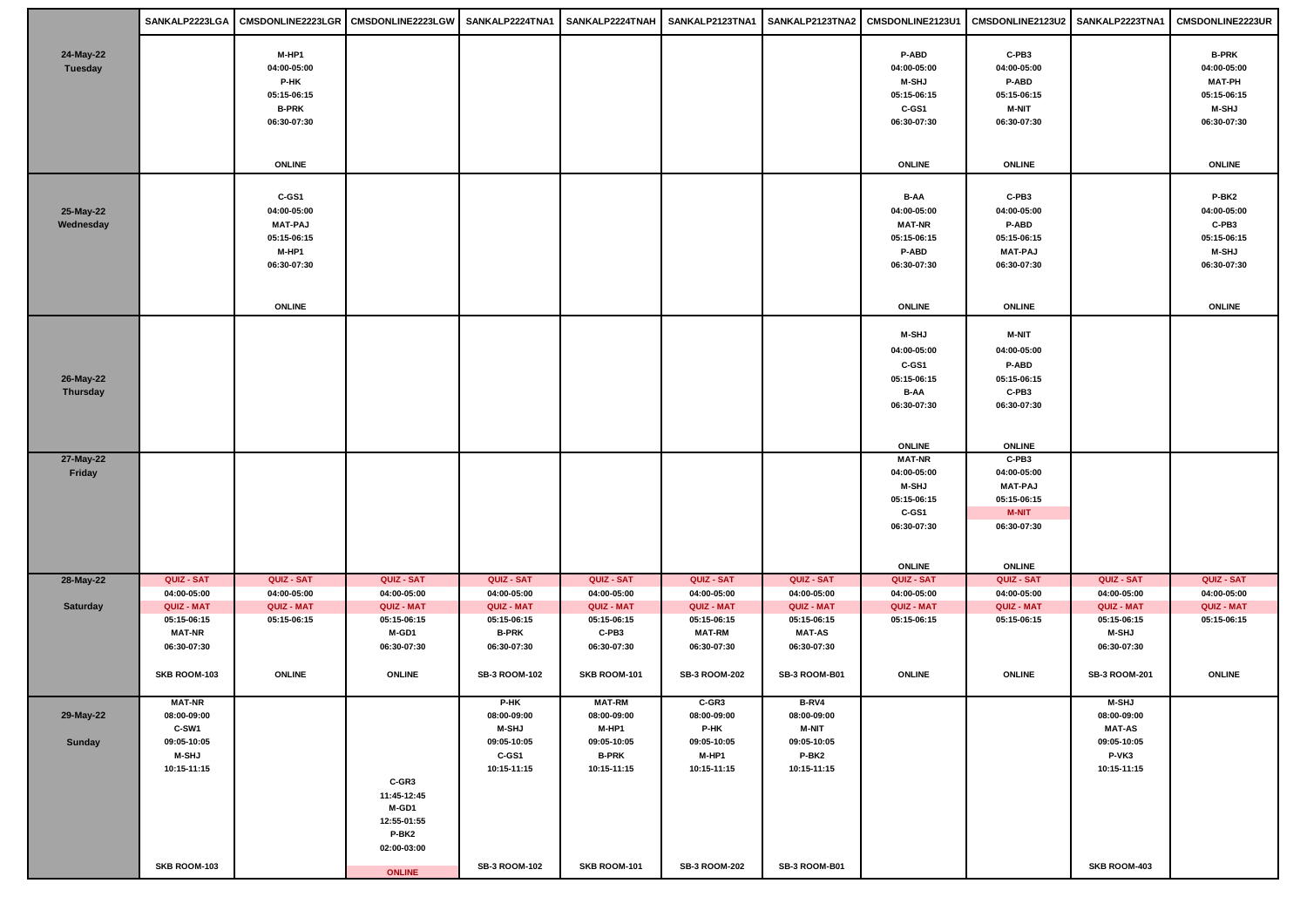|                              |                                                                                     |                                                                               | SANKALP2223LGA   CMSDONLINE2223LGR   CMSDONLINE2223LGW   SANKALP2224TNA1   SANKALP2224TNAH   SANKALP2123TNA1   SANKALP2123TNA2   CMSDONLINE2123U1   CMSDONLINE2123U2   SANKALP2223TNA1   CMSDONLINE2123U2   SANKALP2223TNA1 |                                                                            |                                                                                     |                                                                            |                                                                             |                                                                                     |                                                                               |                                                                                     |                                                                                            |
|------------------------------|-------------------------------------------------------------------------------------|-------------------------------------------------------------------------------|-----------------------------------------------------------------------------------------------------------------------------------------------------------------------------------------------------------------------------|----------------------------------------------------------------------------|-------------------------------------------------------------------------------------|----------------------------------------------------------------------------|-----------------------------------------------------------------------------|-------------------------------------------------------------------------------------|-------------------------------------------------------------------------------|-------------------------------------------------------------------------------------|--------------------------------------------------------------------------------------------|
| 24-May-22<br>Tuesday         |                                                                                     | M-HP1<br>04:00-05:00<br>P-HK<br>05:15-06:15<br><b>B-PRK</b><br>06:30-07:30    |                                                                                                                                                                                                                             |                                                                            |                                                                                     |                                                                            |                                                                             | P-ABD<br>04:00-05:00<br><b>M-SHJ</b><br>05:15-06:15<br>C-GS1<br>06:30-07:30         | C-PB3<br>04:00-05:00<br>P-ABD<br>05:15-06:15<br><b>M-NIT</b><br>06:30-07:30   |                                                                                     | <b>B-PRK</b><br>04:00-05:00<br><b>MAT-PH</b><br>05:15-06:15<br><b>M-SHJ</b><br>06:30-07:30 |
|                              |                                                                                     | <b>ONLINE</b>                                                                 |                                                                                                                                                                                                                             |                                                                            |                                                                                     |                                                                            |                                                                             | <b>ONLINE</b>                                                                       | <b>ONLINE</b>                                                                 |                                                                                     | <b>ONLINE</b>                                                                              |
| 25-May-22<br>Wednesday       |                                                                                     | C-GS1<br>04:00-05:00<br><b>MAT-PAJ</b><br>05:15-06:15<br>M-HP1<br>06:30-07:30 |                                                                                                                                                                                                                             |                                                                            |                                                                                     |                                                                            |                                                                             | B-AA<br>04:00-05:00<br><b>MAT-NR</b><br>05:15-06:15<br>P-ABD<br>06:30-07:30         | C-PB3<br>04:00-05:00<br>P-ABD<br>05:15-06:15<br><b>MAT-PAJ</b><br>06:30-07:30 |                                                                                     | P-BK2<br>04:00-05:00<br>C-PB3<br>05:15-06:15<br><b>M-SHJ</b><br>06:30-07:30                |
|                              |                                                                                     | <b>ONLINE</b>                                                                 |                                                                                                                                                                                                                             |                                                                            |                                                                                     |                                                                            |                                                                             | <b>ONLINE</b>                                                                       | <b>ONLINE</b>                                                                 |                                                                                     | <b>ONLINE</b>                                                                              |
| 26-May-22<br><b>Thursday</b> |                                                                                     |                                                                               |                                                                                                                                                                                                                             |                                                                            |                                                                                     |                                                                            |                                                                             | <b>M-SHJ</b><br>04:00-05:00<br>C-GS1<br>05:15-06:15<br>B-AA<br>06:30-07:30          | <b>M-NIT</b><br>04:00-05:00<br>P-ABD<br>05:15-06:15<br>C-PB3<br>06:30-07:30   |                                                                                     |                                                                                            |
|                              |                                                                                     |                                                                               |                                                                                                                                                                                                                             |                                                                            |                                                                                     |                                                                            |                                                                             | <b>ONLINE</b>                                                                       | <b>ONLINE</b>                                                                 |                                                                                     |                                                                                            |
| 27-May-22<br>Friday          |                                                                                     |                                                                               |                                                                                                                                                                                                                             |                                                                            |                                                                                     |                                                                            |                                                                             | <b>MAT-NR</b><br>04:00-05:00<br><b>M-SHJ</b><br>05:15-06:15<br>C-GS1<br>06:30-07:30 | C-PB3<br>04:00-05:00<br><b>MAT-PAJ</b><br>05:15-06:15<br>M-NIT<br>06:30-07:30 |                                                                                     |                                                                                            |
| 28-May-22                    | QUIZ - SAT                                                                          | QUIZ - SAT                                                                    | QUIZ - SAT                                                                                                                                                                                                                  | QUIZ - SAT                                                                 | QUIZ - SAT                                                                          | QUIZ - SAT                                                                 | QUIZ - SAT                                                                  | <b>ONLINE</b><br>QUIZ - SAT                                                         | <b>ONLINE</b><br>QUIZ - SAT                                                   | QUIZ - SAT                                                                          | QUIZ - SAT                                                                                 |
|                              | 04:00-05:00                                                                         | 04:00-05:00                                                                   | 04:00-05:00                                                                                                                                                                                                                 | 04:00-05:00                                                                | 04:00-05:00                                                                         | 04:00-05:00                                                                | 04:00-05:00                                                                 | 04:00-05:00                                                                         | 04:00-05:00                                                                   | 04:00-05:00                                                                         | 04:00-05:00                                                                                |
| Saturday                     | QUIZ - MAT<br>05:15-06:15<br><b>MAT-NR</b><br>06:30-07:30<br>SKB ROOM-103           | <b>QUIZ - MAT</b><br>05:15-06:15<br><b>ONLINE</b>                             | QUIZ - MAT<br>05:15-06:15<br>M-GD1<br>06:30-07:30<br><b>ONLINE</b>                                                                                                                                                          | QUIZ - MAT<br>05:15-06:15<br><b>B-PRK</b><br>06:30-07:30<br>SB-3 ROOM-102  | QUIZ - MAT<br>05:15-06:15<br>C-PB3<br>06:30-07:30<br>SKB ROOM-101                   | QUIZ - MAT<br>05:15-06:15<br><b>MAT-RM</b><br>06:30-07:30<br>SB-3 ROOM-202 | QUIZ - MAT<br>05:15-06:15<br><b>MAT-AS</b><br>06:30-07:30<br>SB-3 ROOM-B01  | QUIZ - MAT<br>05:15-06:15<br><b>ONLINE</b>                                          | QUIZ - MAT<br>05:15-06:15<br><b>ONLINE</b>                                    | QUIZ - MAT<br>05:15-06:15<br><b>M-SHJ</b><br>06:30-07:30<br>SB-3 ROOM-201           | QUIZ - MAT<br>05:15-06:15<br><b>ONLINE</b>                                                 |
| 29-May-22<br>Sunday          | <b>MAT-NR</b><br>08:00-09:00<br>C-SW1<br>09:05-10:05<br><b>M-SHJ</b><br>10:15-11:15 |                                                                               | C-GR3<br>11:45-12:45<br>M-GD1<br>12:55-01:55<br>P-BK2<br>02:00-03:00                                                                                                                                                        | P-HK<br>08:00-09:00<br><b>M-SHJ</b><br>09:05-10:05<br>C-GS1<br>10:15-11:15 | <b>MAT-RM</b><br>08:00-09:00<br>M-HP1<br>09:05-10:05<br><b>B-PRK</b><br>10:15-11:15 | C-GR3<br>08:00-09:00<br>P-HK<br>09:05-10:05<br>M-HP1<br>10:15-11:15        | B-RV4<br>08:00-09:00<br><b>M-NIT</b><br>09:05-10:05<br>P-BK2<br>10:15-11:15 |                                                                                     |                                                                               | <b>M-SHJ</b><br>08:00-09:00<br><b>MAT-AS</b><br>09:05-10:05<br>P-VK3<br>10:15-11:15 |                                                                                            |
|                              | SKB ROOM-103                                                                        |                                                                               | <b>ONLINE</b>                                                                                                                                                                                                               | SB-3 ROOM-102                                                              | SKB ROOM-101                                                                        | SB-3 ROOM-202                                                              | SB-3 ROOM-B01                                                               |                                                                                     |                                                                               | SKB ROOM-403                                                                        |                                                                                            |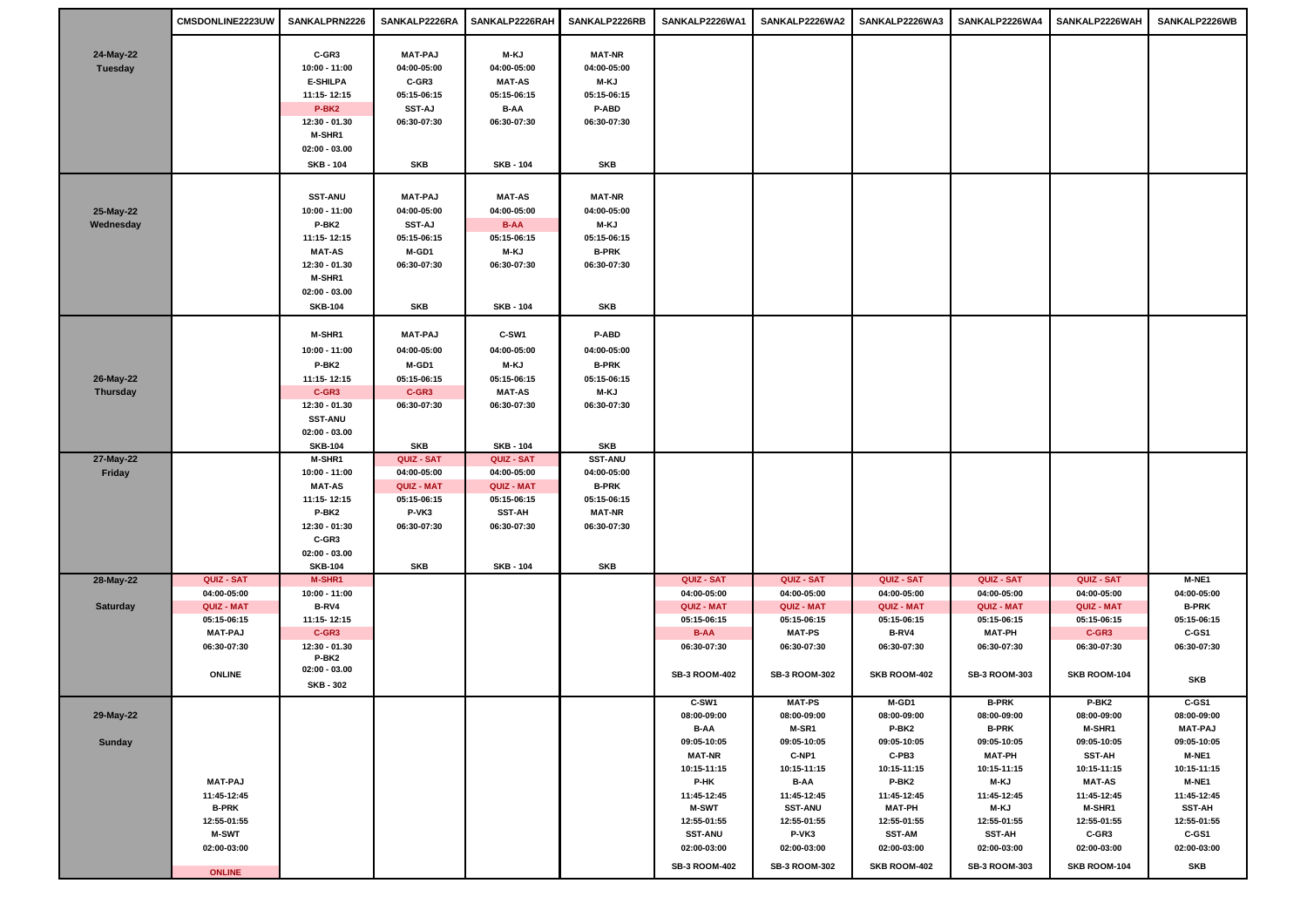|                      | CMSDONLINE2223UW              | SANKALPRN2226                       | SANKALP2226RA        | SANKALP2226RAH               | SANKALP2226RB                | SANKALP2226WA1               | SANKALP2226WA2               | SANKALP2226WA3       | SANKALP2226WA4               | SANKALP2226WAH               | SANKALP2226WB        |
|----------------------|-------------------------------|-------------------------------------|----------------------|------------------------------|------------------------------|------------------------------|------------------------------|----------------------|------------------------------|------------------------------|----------------------|
|                      |                               | C-GR3                               | <b>MAT-PAJ</b>       | M-KJ                         | <b>MAT-NR</b>                |                              |                              |                      |                              |                              |                      |
| 24-May-22<br>Tuesday |                               | 10:00 - 11:00                       | 04:00-05:00          | 04:00-05:00                  | 04:00-05:00                  |                              |                              |                      |                              |                              |                      |
|                      |                               | <b>E-SHILPA</b>                     | C-GR3                | <b>MAT-AS</b>                | M-KJ                         |                              |                              |                      |                              |                              |                      |
|                      |                               | 11:15-12:15                         | 05:15-06:15          | 05:15-06:15                  | 05:15-06:15                  |                              |                              |                      |                              |                              |                      |
|                      |                               | P-BK <sub>2</sub>                   | <b>SST-AJ</b>        | B-AA                         | P-ABD                        |                              |                              |                      |                              |                              |                      |
|                      |                               | 12:30 - 01.30                       | 06:30-07:30          | 06:30-07:30                  | 06:30-07:30                  |                              |                              |                      |                              |                              |                      |
|                      |                               | M-SHR1                              |                      |                              |                              |                              |                              |                      |                              |                              |                      |
|                      |                               | $02:00 - 03.00$                     |                      |                              |                              |                              |                              |                      |                              |                              |                      |
|                      |                               | <b>SKB - 104</b>                    | SKB                  | <b>SKB - 104</b>             | SKB                          |                              |                              |                      |                              |                              |                      |
|                      |                               | <b>SST-ANU</b>                      | <b>MAT-PAJ</b>       | <b>MAT-AS</b>                | <b>MAT-NR</b>                |                              |                              |                      |                              |                              |                      |
| 25-May-22            |                               | 10:00 - 11:00                       | 04:00-05:00          | 04:00-05:00                  | 04:00-05:00                  |                              |                              |                      |                              |                              |                      |
| Wednesday            |                               | P-BK2                               | <b>SST-AJ</b>        | <b>B-AA</b>                  | M-KJ                         |                              |                              |                      |                              |                              |                      |
|                      |                               | 11:15-12:15                         | 05:15-06:15          | 05:15-06:15                  | 05:15-06:15                  |                              |                              |                      |                              |                              |                      |
|                      |                               | <b>MAT-AS</b>                       | M-GD1                | M-KJ                         | <b>B-PRK</b>                 |                              |                              |                      |                              |                              |                      |
|                      |                               | 12:30 - 01.30                       | 06:30-07:30          | 06:30-07:30                  | 06:30-07:30                  |                              |                              |                      |                              |                              |                      |
|                      |                               | M-SHR1                              |                      |                              |                              |                              |                              |                      |                              |                              |                      |
|                      |                               | $02:00 - 03.00$                     |                      |                              |                              |                              |                              |                      |                              |                              |                      |
|                      |                               | <b>SKB-104</b>                      | SKB                  | <b>SKB - 104</b>             | SKB                          |                              |                              |                      |                              |                              |                      |
|                      |                               | M-SHR1                              | <b>MAT-PAJ</b>       | C-SW1                        | P-ABD                        |                              |                              |                      |                              |                              |                      |
|                      |                               | 10:00 - 11:00                       | 04:00-05:00          | 04:00-05:00                  | 04:00-05:00                  |                              |                              |                      |                              |                              |                      |
|                      |                               | P-BK2                               | M-GD1                | M-KJ                         | <b>B-PRK</b>                 |                              |                              |                      |                              |                              |                      |
| 26-May-22            |                               | 11:15-12:15                         | 05:15-06:15          | 05:15-06:15                  | 05:15-06:15                  |                              |                              |                      |                              |                              |                      |
| <b>Thursday</b>      |                               | C-GR3<br>12:30 - 01.30              | C-GR3<br>06:30-07:30 | <b>MAT-AS</b><br>06:30-07:30 | M-KJ<br>06:30-07:30          |                              |                              |                      |                              |                              |                      |
|                      |                               | <b>SST-ANU</b>                      |                      |                              |                              |                              |                              |                      |                              |                              |                      |
|                      |                               | $02:00 - 03.00$                     |                      |                              |                              |                              |                              |                      |                              |                              |                      |
|                      |                               | <b>SKB-104</b>                      | SKB                  | <b>SKB - 104</b>             | SKB                          |                              |                              |                      |                              |                              |                      |
| 27-May-22            |                               | M-SHR1                              | QUIZ - SAT           | QUIZ - SAT                   | <b>SST-ANU</b>               |                              |                              |                      |                              |                              |                      |
| Friday               |                               | 10:00 - 11:00                       | 04:00-05:00          | 04:00-05:00                  | 04:00-05:00                  |                              |                              |                      |                              |                              |                      |
|                      |                               | <b>MAT-AS</b>                       | <b>QUIZ - MAT</b>    | <b>QUIZ - MAT</b>            | <b>B-PRK</b>                 |                              |                              |                      |                              |                              |                      |
|                      |                               | 11:15-12:15                         | 05:15-06:15          | 05:15-06:15                  | 05:15-06:15                  |                              |                              |                      |                              |                              |                      |
|                      |                               | P-BK2<br>12:30 - 01:30              | P-VK3<br>06:30-07:30 | <b>SST-AH</b><br>06:30-07:30 | <b>MAT-NR</b><br>06:30-07:30 |                              |                              |                      |                              |                              |                      |
|                      |                               | C-GR3                               |                      |                              |                              |                              |                              |                      |                              |                              |                      |
|                      |                               | $02:00 - 03.00$                     |                      |                              |                              |                              |                              |                      |                              |                              |                      |
|                      |                               | <b>SKB-104</b>                      | SKB                  | <b>SKB - 104</b>             | SKB                          |                              |                              |                      |                              |                              |                      |
| 28-May-22            | QUIZ - SAT                    | M-SHR1                              |                      |                              |                              | QUIZ - SAT                   | QUIZ - SAT                   | QUIZ - SAT           | QUIZ - SAT                   | QUIZ - SAT                   | M-NE1                |
|                      | 04:00-05:00                   | 10:00 - 11:00                       |                      |                              |                              | 04:00-05:00                  | 04:00-05:00                  | 04:00-05:00          | 04:00-05:00                  | 04:00-05:00                  | 04:00-05:00          |
| <b>Saturday</b>      | <b>QUIZ - MAT</b>             | B-RV4                               |                      |                              |                              | QUIZ - MAT                   | QUIZ - MAT                   | QUIZ - MAT           | QUIZ - MAT                   | <b>QUIZ - MAT</b>            | <b>B-PRK</b>         |
|                      | 05:15-06:15<br><b>MAT-PAJ</b> | 11:15-12:15<br>C-GR3                |                      |                              |                              | 05:15-06:15<br><b>B-AA</b>   | 05:15-06:15<br><b>MAT-PS</b> | 05:15-06:15<br>B-RV4 | 05:15-06:15<br><b>MAT-PH</b> | 05:15-06:15<br>$C$ -GR3      | 05:15-06:15<br>C-GS1 |
|                      | 06:30-07:30                   | 12:30 - 01.30                       |                      |                              |                              | 06:30-07:30                  | 06:30-07:30                  | 06:30-07:30          | 06:30-07:30                  | 06:30-07:30                  | 06:30-07:30          |
|                      |                               | P-BK2                               |                      |                              |                              |                              |                              |                      |                              |                              |                      |
|                      | <b>ONLINE</b>                 | $02:00 - 03.00$<br><b>SKB - 302</b> |                      |                              |                              | SB-3 ROOM-402                | SB-3 ROOM-302                | SKB ROOM-402         | SB-3 ROOM-303                | SKB ROOM-104                 | SKB                  |
|                      |                               |                                     |                      |                              |                              | C-SW1                        | <b>MAT-PS</b>                | M-GD1                | <b>B-PRK</b>                 | P-BK2                        | C-GS1                |
| 29-May-22            |                               |                                     |                      |                              |                              | 08:00-09:00                  | 08:00-09:00                  | 08:00-09:00          | 08:00-09:00                  | 08:00-09:00                  | 08:00-09:00          |
|                      |                               |                                     |                      |                              |                              | B-AA                         | M-SR1                        | P-BK2                | <b>B-PRK</b>                 | M-SHR1                       | <b>MAT-PAJ</b>       |
| <b>Sunday</b>        |                               |                                     |                      |                              |                              | 09:05-10:05<br><b>MAT-NR</b> | 09:05-10:05<br>C-NP1         | 09:05-10:05<br>C-PB3 | 09:05-10:05<br><b>MAT-PH</b> | 09:05-10:05<br><b>SST-AH</b> | 09:05-10:05<br>M-NE1 |
|                      |                               |                                     |                      |                              |                              | 10:15-11:15                  | 10:15-11:15                  | 10:15-11:15          | 10:15-11:15                  | 10:15-11:15                  | 10:15-11:15          |
|                      | <b>MAT-PAJ</b>                |                                     |                      |                              |                              | P-HK                         | <b>B-AA</b>                  | P-BK2                | M-KJ                         | <b>MAT-AS</b>                | M-NE1                |
|                      | 11:45-12:45                   |                                     |                      |                              |                              | 11:45-12:45                  | 11:45-12:45                  | 11:45-12:45          | 11:45-12:45                  | 11:45-12:45                  | 11:45-12:45          |
|                      | <b>B-PRK</b>                  |                                     |                      |                              |                              | <b>M-SWT</b>                 | <b>SST-ANU</b>               | <b>MAT-PH</b>        | M-KJ                         | M-SHR1                       | <b>SST-AH</b>        |
|                      | 12:55-01:55                   |                                     |                      |                              |                              | 12:55-01:55                  | 12:55-01:55                  | 12:55-01:55          | 12:55-01:55                  | 12:55-01:55                  | 12:55-01:55          |
|                      | <b>M-SWT</b><br>02:00-03:00   |                                     |                      |                              |                              | <b>SST-ANU</b>               | P-VK3                        | <b>SST-AM</b>        | <b>SST-AH</b>                | $C$ -GR3                     | C-GS1                |
|                      |                               |                                     |                      |                              |                              | 02:00-03:00                  | 02:00-03:00                  | 02:00-03:00          | 02:00-03:00                  | 02:00-03:00                  | 02:00-03:00          |
|                      | <b>ONLINE</b>                 |                                     |                      |                              |                              | <b>SB-3 ROOM-402</b>         | <b>SB-3 ROOM-302</b>         | SKB ROOM-402         | SB-3 ROOM-303                | SKB ROOM-104                 | SKB                  |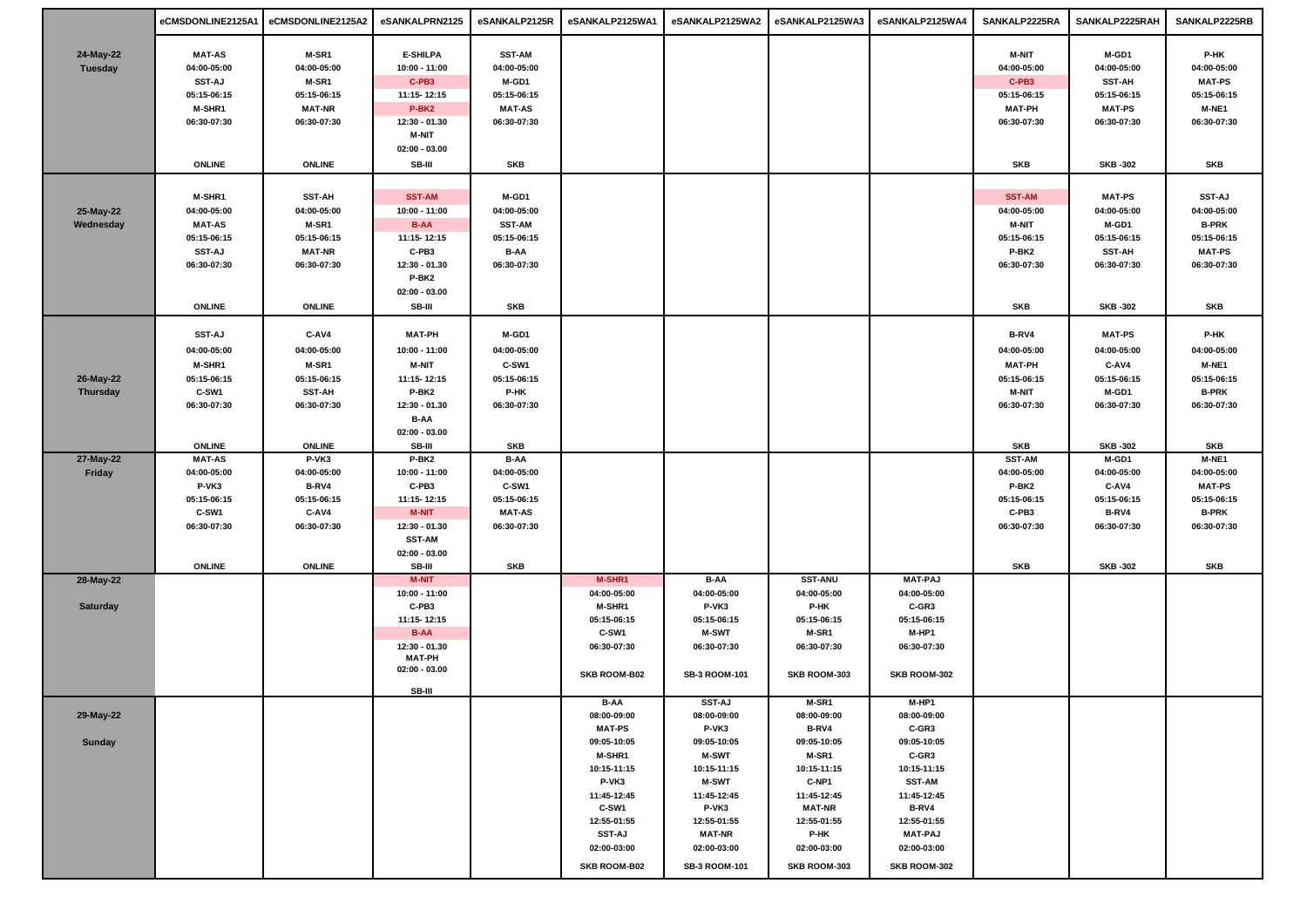|                 | eCMSDONLINE2125A1            | eCMSDONLINE2125A2    | eSANKALPRN2125       | eSANKALP2125R        | eSANKALP2125WA1              | eSANKALP2125WA2             | eSANKALP2125WA3      | eSANKALP2125WA4      | SANKALP2225RA        | SANKALP2225RAH               | SANKALP2225RB                |
|-----------------|------------------------------|----------------------|----------------------|----------------------|------------------------------|-----------------------------|----------------------|----------------------|----------------------|------------------------------|------------------------------|
|                 |                              |                      |                      |                      |                              |                             |                      |                      |                      |                              |                              |
| 24-May-22       | <b>MAT-AS</b>                | M-SR1                | <b>E-SHILPA</b>      | <b>SST-AM</b>        |                              |                             |                      |                      | <b>M-NIT</b>         | M-GD1                        | P-HK                         |
| Tuesday         | 04:00-05:00                  | 04:00-05:00          | $10:00 - 11:00$      | 04:00-05:00          |                              |                             |                      |                      | 04:00-05:00          | 04:00-05:00                  | 04:00-05:00                  |
|                 | <b>SST-AJ</b><br>05:15-06:15 | M-SR1<br>05:15-06:15 | C-PB3<br>11:15-12:15 | M-GD1<br>05:15-06:15 |                              |                             |                      |                      | C-PB3<br>05:15-06:15 | <b>SST-AH</b><br>05:15-06:15 | <b>MAT-PS</b><br>05:15-06:15 |
|                 | <b>M-SHR1</b>                | <b>MAT-NR</b>        | P-BK <sub>2</sub>    | <b>MAT-AS</b>        |                              |                             |                      |                      | <b>MAT-PH</b>        | <b>MAT-PS</b>                | M-NE1                        |
|                 | 06:30-07:30                  | 06:30-07:30          | 12:30 - 01.30        | 06:30-07:30          |                              |                             |                      |                      | 06:30-07:30          | 06:30-07:30                  | 06:30-07:30                  |
|                 |                              |                      | <b>M-NIT</b>         |                      |                              |                             |                      |                      |                      |                              |                              |
|                 |                              |                      | $02:00 - 03.00$      |                      |                              |                             |                      |                      |                      |                              |                              |
|                 | <b>ONLINE</b>                | <b>ONLINE</b>        | SB-III               | SKB                  |                              |                             |                      |                      | SKB                  | <b>SKB-302</b>               | <b>SKB</b>                   |
|                 |                              |                      |                      |                      |                              |                             |                      |                      |                      |                              |                              |
|                 | M-SHR1                       | <b>SST-AH</b>        | <b>SST-AM</b>        | M-GD1                |                              |                             |                      |                      | <b>SST-AM</b>        | <b>MAT-PS</b>                | <b>SST-AJ</b>                |
| 25-May-22       | 04:00-05:00                  | 04:00-05:00          | 10:00 - 11:00        | 04:00-05:00          |                              |                             |                      |                      | 04:00-05:00          | 04:00-05:00                  | 04:00-05:00                  |
| Wednesday       | <b>MAT-AS</b>                | M-SR1                | <b>B-AA</b>          | <b>SST-AM</b>        |                              |                             |                      |                      | <b>M-NIT</b>         | M-GD1                        | <b>B-PRK</b>                 |
|                 | 05:15-06:15                  | 05:15-06:15          | 11:15-12:15          | 05:15-06:15          |                              |                             |                      |                      | 05:15-06:15          | 05:15-06:15                  | 05:15-06:15                  |
|                 | <b>SST-AJ</b>                | <b>MAT-NR</b>        | C-PB3                | B-AA                 |                              |                             |                      |                      | P-BK2                | <b>SST-AH</b>                | <b>MAT-PS</b>                |
|                 | 06:30-07:30                  | 06:30-07:30          | 12:30 - 01.30        | 06:30-07:30          |                              |                             |                      |                      | 06:30-07:30          | 06:30-07:30                  | 06:30-07:30                  |
|                 |                              |                      | P-BK2                |                      |                              |                             |                      |                      |                      |                              |                              |
|                 |                              |                      | $02:00 - 03.00$      |                      |                              |                             |                      |                      |                      |                              |                              |
|                 | <b>ONLINE</b>                | <b>ONLINE</b>        | SB-III               | SKB                  |                              |                             |                      |                      | <b>SKB</b>           | <b>SKB-302</b>               | SKB                          |
|                 | <b>SST-AJ</b>                | C-AV4                | <b>MAT-PH</b>        | M-GD1                |                              |                             |                      |                      | B-RV4                | <b>MAT-PS</b>                | P-HK                         |
|                 | 04:00-05:00                  | 04:00-05:00          | 10:00 - 11:00        | 04:00-05:00          |                              |                             |                      |                      | 04:00-05:00          | 04:00-05:00                  | 04:00-05:00                  |
|                 | M-SHR1                       | M-SR1                | <b>M-NIT</b>         | C-SW1                |                              |                             |                      |                      | <b>MAT-PH</b>        | C-AV4                        | M-NE1                        |
| 26-May-22       | 05:15-06:15                  | 05:15-06:15          | 11:15-12:15          | 05:15-06:15          |                              |                             |                      |                      | 05:15-06:15          | 05:15-06:15                  | 05:15-06:15                  |
| Thursday        | C-SW1                        | <b>SST-AH</b>        | P-BK2                | P-HK                 |                              |                             |                      |                      | <b>M-NIT</b>         | M-GD1                        | <b>B-PRK</b>                 |
|                 | 06:30-07:30                  | 06:30-07:30          | 12:30 - 01.30        | 06:30-07:30          |                              |                             |                      |                      | 06:30-07:30          | 06:30-07:30                  | 06:30-07:30                  |
|                 |                              |                      | B-AA                 |                      |                              |                             |                      |                      |                      |                              |                              |
|                 |                              |                      | $02:00 - 03.00$      |                      |                              |                             |                      |                      |                      |                              |                              |
|                 | <b>ONLINE</b>                | <b>ONLINE</b>        | SB-III               | SKB                  |                              |                             |                      |                      | SKB                  | <b>SKB-302</b>               | SKB                          |
| 27-May-22       | <b>MAT-AS</b>                | P-VK3                | P-BK2                | B-AA                 |                              |                             |                      |                      | <b>SST-AM</b>        | M-GD1                        | M-NE1                        |
| Friday          | 04:00-05:00                  | 04:00-05:00          | 10:00 - 11:00        | 04:00-05:00          |                              |                             |                      |                      | 04:00-05:00          | 04:00-05:00                  | 04:00-05:00                  |
|                 | P-VK3<br>05:15-06:15         | B-RV4<br>05:15-06:15 | C-PB3<br>11:15-12:15 | C-SW1<br>05:15-06:15 |                              |                             |                      |                      | P-BK2<br>05:15-06:15 | C-AV4<br>05:15-06:15         | <b>MAT-PS</b><br>05:15-06:15 |
|                 | C-SW1                        | C-AV4                | M-NIT                | <b>MAT-AS</b>        |                              |                             |                      |                      | C-PB3                | B-RV4                        | <b>B-PRK</b>                 |
|                 | 06:30-07:30                  | 06:30-07:30          | 12:30 - 01.30        | 06:30-07:30          |                              |                             |                      |                      | 06:30-07:30          | 06:30-07:30                  | 06:30-07:30                  |
|                 |                              |                      | <b>SST-AM</b>        |                      |                              |                             |                      |                      |                      |                              |                              |
|                 |                              |                      | $02:00 - 03.00$      |                      |                              |                             |                      |                      |                      |                              |                              |
|                 | <b>ONLINE</b>                | <b>ONLINE</b>        | SB-III               | SKB                  |                              |                             |                      |                      | SKB                  | <b>SKB-302</b>               | <b>SKB</b>                   |
| 28-May-22       |                              |                      | <b>M-NIT</b>         |                      | M-SHR1                       | <b>B-AA</b>                 | <b>SST-ANU</b>       | <b>MAT-PAJ</b>       |                      |                              |                              |
|                 |                              |                      | 10:00 - 11:00        |                      | 04:00-05:00                  | 04:00-05:00                 | 04:00-05:00          | 04:00-05:00          |                      |                              |                              |
| <b>Saturday</b> |                              |                      | C-PB3<br>11:15-12:15 |                      | <b>M-SHR1</b><br>05:15-06:15 | P-VK3                       | P-HK                 | C-GR3<br>05:15-06:15 |                      |                              |                              |
|                 |                              |                      | <b>B-AA</b>          |                      | C-SW1                        | 05:15-06:15<br><b>M-SWT</b> | 05:15-06:15<br>M-SR1 | M-HP1                |                      |                              |                              |
|                 |                              |                      | 12:30 - 01.30        |                      | 06:30-07:30                  | 06:30-07:30                 | 06:30-07:30          | 06:30-07:30          |                      |                              |                              |
|                 |                              |                      | <b>MAT-PH</b>        |                      |                              |                             |                      |                      |                      |                              |                              |
|                 |                              |                      | $02:00 - 03.00$      |                      | <b>SKB ROOM-B02</b>          | SB-3 ROOM-101               | SKB ROOM-303         | SKB ROOM-302         |                      |                              |                              |
|                 |                              |                      | SB-III               |                      |                              |                             |                      |                      |                      |                              |                              |
|                 |                              |                      |                      |                      | <b>B-AA</b>                  | <b>SST-AJ</b>               | M-SR1                | M-HP1                |                      |                              |                              |
| 29-May-22       |                              |                      |                      |                      | 08:00-09:00                  | 08:00-09:00<br>P-VK3        | 08:00-09:00<br>B-RV4 | 08:00-09:00          |                      |                              |                              |
| Sunday          |                              |                      |                      |                      | <b>MAT-PS</b><br>09:05-10:05 | 09:05-10:05                 | 09:05-10:05          | C-GR3<br>09:05-10:05 |                      |                              |                              |
|                 |                              |                      |                      |                      | M-SHR1                       | <b>M-SWT</b>                | M-SR1                | C-GR3                |                      |                              |                              |
|                 |                              |                      |                      |                      | 10:15-11:15                  | 10:15-11:15                 | 10:15-11:15          | 10:15-11:15          |                      |                              |                              |
|                 |                              |                      |                      |                      | P-VK3                        | <b>M-SWT</b>                | C-NP1                | <b>SST-AM</b>        |                      |                              |                              |
|                 |                              |                      |                      |                      | 11:45-12:45                  | 11:45-12:45                 | 11:45-12:45          | 11:45-12:45          |                      |                              |                              |
|                 |                              |                      |                      |                      | C-SW1                        | P-VK3                       | <b>MAT-NR</b>        | B-RV4                |                      |                              |                              |
|                 |                              |                      |                      |                      | 12:55-01:55                  | 12:55-01:55                 | 12:55-01:55          | 12:55-01:55          |                      |                              |                              |
|                 |                              |                      |                      |                      | <b>SST-AJ</b>                | <b>MAT-NR</b>               | P-HK                 | <b>MAT-PAJ</b>       |                      |                              |                              |
|                 |                              |                      |                      |                      | 02:00-03:00                  | 02:00-03:00                 | 02:00-03:00          | 02:00-03:00          |                      |                              |                              |
|                 |                              |                      |                      |                      | <b>SKB ROOM-B02</b>          | SB-3 ROOM-101               | SKB ROOM-303         | SKB ROOM-302         |                      |                              |                              |